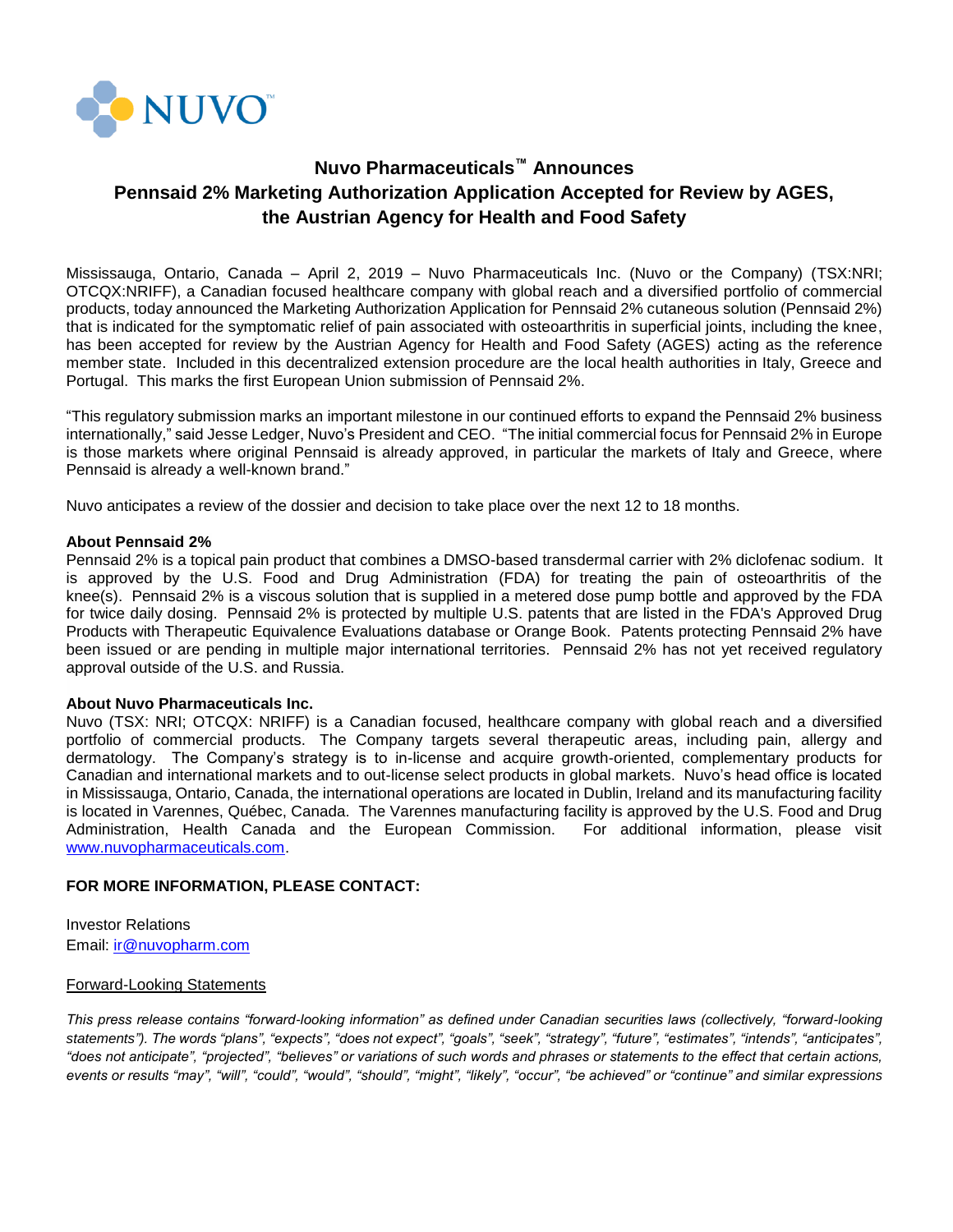

# **Nuvo Pharmaceuticals™ Announces Pennsaid 2% Marketing Authorization Application Accepted for Review by AGES, the Austrian Agency for Health and Food Safety**

Mississauga, Ontario, Canada – April 2, 2019 – Nuvo Pharmaceuticals Inc. (Nuvo or the Company) (TSX:NRI; OTCQX:NRIFF), a Canadian focused healthcare company with global reach and a diversified portfolio of commercial products, today announced the Marketing Authorization Application for Pennsaid 2% cutaneous solution (Pennsaid 2%) that is indicated for the symptomatic relief of pain associated with osteoarthritis in superficial joints, including the knee, has been accepted for review by the Austrian Agency for Health and Food Safety (AGES) acting as the reference member state. Included in this decentralized extension procedure are the local health authorities in Italy, Greece and Portugal. This marks the first European Union submission of Pennsaid 2%.

"This regulatory submission marks an important milestone in our continued efforts to expand the Pennsaid 2% business internationally," said Jesse Ledger, Nuvo's President and CEO. "The initial commercial focus for Pennsaid 2% in Europe is those markets where original Pennsaid is already approved, in particular the markets of Italy and Greece, where Pennsaid is already a well-known brand."

Nuvo anticipates a review of the dossier and decision to take place over the next 12 to 18 months.

### **About Pennsaid 2%**

Pennsaid 2% is a topical pain product that combines a DMSO-based transdermal carrier with 2% diclofenac sodium. It is approved by the U.S. Food and Drug Administration (FDA) for treating the pain of osteoarthritis of the knee(s). Pennsaid 2% is a viscous solution that is supplied in a metered dose pump bottle and approved by the FDA for twice daily dosing. Pennsaid 2% is protected by multiple U.S. patents that are listed in the FDA's Approved Drug Products with Therapeutic Equivalence Evaluations database or Orange Book. Patents protecting Pennsaid 2% have been issued or are pending in multiple major international territories. Pennsaid 2% has not yet received regulatory approval outside of the U.S. and Russia.

## **About Nuvo Pharmaceuticals Inc.**

Nuvo (TSX: NRI; OTCQX: NRIFF) is a Canadian focused, healthcare company with global reach and a diversified portfolio of commercial products. The Company targets several therapeutic areas, including pain, allergy and dermatology. The Company's strategy is to in-license and acquire growth-oriented, complementary products for Canadian and international markets and to out-license select products in global markets. Nuvo's head office is located in Mississauga, Ontario, Canada, the international operations are located in Dublin, Ireland and its manufacturing facility is located in Varennes, Québec, Canada. The Varennes manufacturing facility is approved by the U.S. Food and Drug Administration, Health Canada and the European Commission. For additional information, please visit [www.nuvopharmaceuticals.com.](http://www.nuvopharmaceuticals.com/)

## **FOR MORE INFORMATION, PLEASE CONTACT:**

Investor Relations Email: [ir@nuvopharm.com](mailto:ir@nuvopharm.com)

## Forward-Looking Statements

*This press release contains "forward-looking information" as defined under Canadian securities laws (collectively, "forward-looking statements"). The words "plans", "expects", "does not expect", "goals", "seek", "strategy", "future", "estimates", "intends", "anticipates", "does not anticipate", "projected", "believes" or variations of such words and phrases or statements to the effect that certain actions, events or results "may", "will", "could", "would", "should", "might", "likely", "occur", "be achieved" or "continue" and similar expressions*